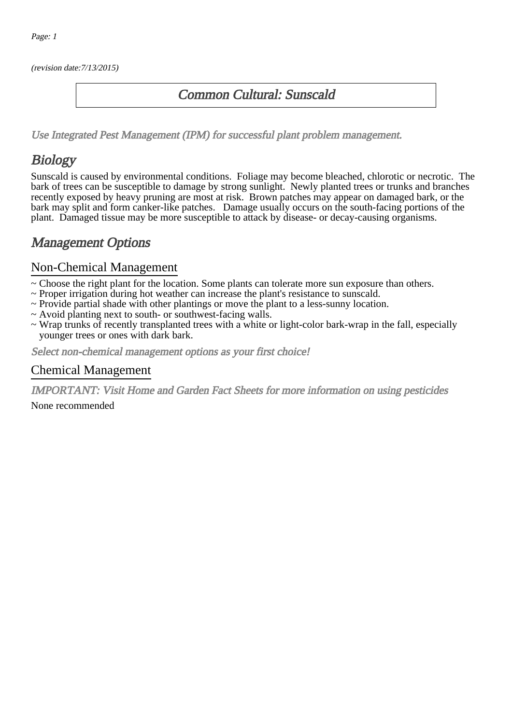(revision date:7/13/2015)

### Common Cultural: Sunscald

[Use Integrated Pest Management \(IPM\) for successful plant problem management.](http://pep.wsu.edu/Home_Garden/H_G_Pesticide_info/urban_Integrated_Pest_Managmen/)

# Biology

Sunscald is caused by environmental conditions. Foliage may become bleached, chlorotic or necrotic. The bark of trees can be susceptible to damage by strong sunlight. Newly planted trees or trunks and branches recently exposed by heavy pruning are most at risk. Brown patches may appear on damaged bark, or the bark may split and form canker-like patches. Damage usually occurs on the south-facing portions of the plant. Damaged tissue may be more susceptible to attack by disease- or decay-causing organisms.

## Management Options

#### Non-Chemical Management

- ~ Choose the right plant for the location. Some plants can tolerate more sun exposure than others.
- ~ Proper irrigation during hot weather can increase the plant's resistance to sunscald.
- ~ Provide partial shade with other plantings or move the plant to a less-sunny location.
- ~ Avoid planting next to south- or southwest-facing walls.
- ~ Wrap trunks of recently transplanted trees with a white or light-color bark-wrap in the fall, especially younger trees or ones with dark bark.

Select non-chemical management options as your first choice!

#### Chemical Management

IMPORTANT: [Visit Home and Garden Fact Sheets for more information on using pesticides](http://pep.wsu.edu/Home_Garden/H_G_Pesticide_info/)

None recommended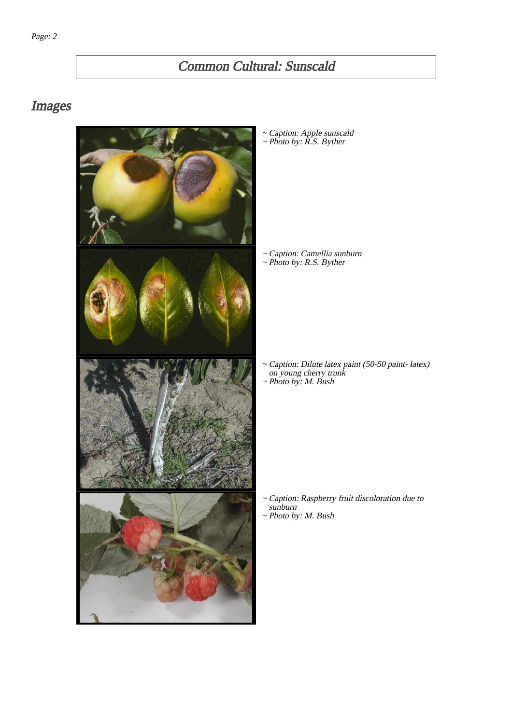# Common Cultural: Sunscald

## Images



~ Caption: Apple sunscald ~ Photo by: R.S. Byther

~ Caption: Camellia sunburn ~ Photo by: R.S. Byther

- Caption: Dilute latex paint (50-50 paint- latex) on young cherry trunk ~
- ~ Photo by: M. Bush

~ Caption: Raspberry fruit discoloration due to sunburn ~ Photo by: M. Bush